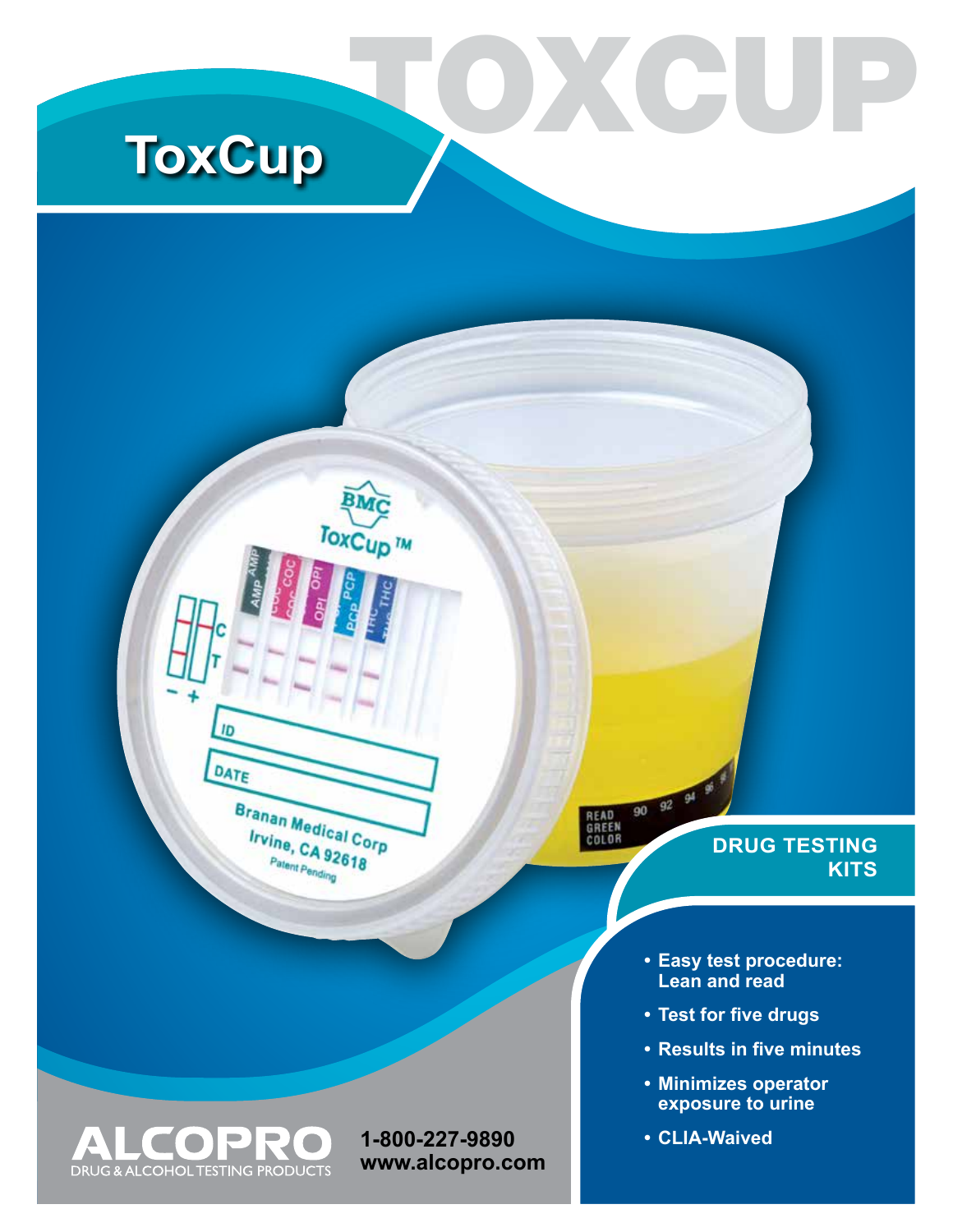# **ToxCup**

ID

DATE

OF

DRUG & ALCOHOL TESTING PRODUCTS

 $\sqrt{2}$ 

 $\sum_{i=1}^{n}$ 

 $\Box$ 

Branan Medical Corp

**Irvine, CA 92618** Patent Pending

90 92 94 READ<br>GREEN<br>COLOR

**1-800-227-9890 www.alcopro.com**

ToxCup<sup>TM</sup>

O X C U

### **DRUG TESTING KITS**

- **• Easy test procedure: Lean and read**
- **• Test for five drugs**
- **• Results in five minutes**
- **• Minimizes operator exposure to urine**
- **• CLIA-Waived**